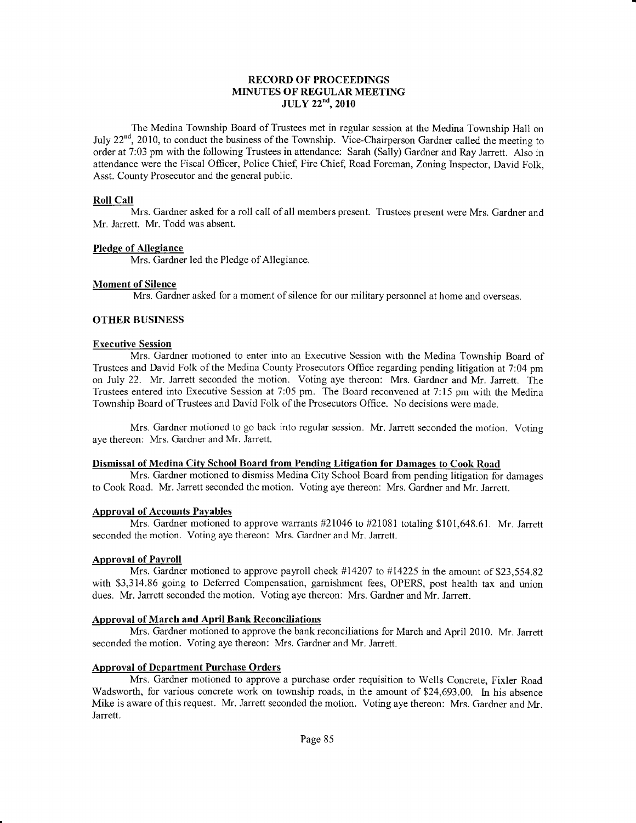#### RECORD OF PROCEEDINGS MINUTES OF REGULAR MEETING JIjLY 22"d,2010

The Medina Township Board of Trustees met in regular session at the Medina Township Hall on July 22<sup>nd</sup>, 2010, to conduct the business of the Township. Vice-Chairperson Gardner called the meeting to order at 7:03 pm with the following Trustees in attendance: Sarah (Sally) Gardner and Ray Jarrett. Also in attendance were the Fiscal Officer, Police Chief, Fire Chief, Road Foreman, Zoning Inspector, David Folk, Asst. County Prosecutor and the general public.

## Roll Call

Mrs. Gardner asked for a roll call of all members present. Trustees present were Mrs. Gardner and Mr. Jarrett. Mr. Todd was absent.

#### Pledge of Allegiance

Mrs. Gardner led the Pledge of Allegiance.

#### Moment of Silence

Mrs. Gardner asked for a moment of silence for our military personnel at home and overseas.

#### OTHER BUSINESS

#### Executive Session

Mrs. Gardner motioned to enter into an Executive Session with the Medina Township Board of Trustees and David Folk of the Medina County Prosecutors Office regarding pending litigation at 7:04 pm on July 22. Mr. Jarrett seconded the motion. Voting aye thereon: Mrs. Gardner and Mr. Jarrett. The Trustees entered into Executive Session at 7:05 pm. The Board reconvened at 7:15 pm with the Medina Township Board of Trustees and David Folk of the Prosecutors Office. No decisions were made.

Mrs. Gardner motioned to go back into regular session. Mr. Jarrett seconded the motion. Voting aye thereon: Mrs. Gardner and Mr. Jarrett.

#### Dismissal of Medina Citv School Board from Pending Litisation for Damages to Cook Road

Mrs. Gardner motioned to dismiss Medina City School Board from pending litigation for damages to Cook Road. Mr. Jarrett seconded the motion. Voting aye thereon: Mrs. Gardner and Mr. Jarrett.

## Approval of Accounts Payables

Mrs. Gardner motioned to approve warrants  $\#21046$  to  $\#21081$  totaling \$101,648.61. Mr. Jarrett seconded the motion. Voting aye thereon: Mrs. Gardner and Mr. Jarrett.

## Approval of Pavroll

Mrs. Gardner motioned to approve payroll check  $#14207$  to  $#14225$  in the amount of \$23,554.82 with \$3,3 14.86 going to Deferred Compensation, garnishment fees, OPERS, post health tax and union dues. Mr. Jarrett seconded the motion. Voting aye thereon: Mrs. Gardner and Mr. Jarrett.

## Approval of March and April Bank Reconciliations

Mrs. Gardner motioned to approve the bank reconciliations for March and April 2010. Mr. Jarrett seconded the motion. Voting aye thereon: Mrs. Gardner and Mr. Jarrett.

## Approval of Department Purchase Orders

Mrs. Gardner motioned to approve a purchase order requisition to Wells Concrete, Fixler Road Wadsworth, for various concrete work on township roads, in the amount of \$24,693.00. In his absence Mike is aware of this request. Mr. Jarrett seconded the motion. Voting aye thereon: Mrs. Gardner and Mr. Jarrett.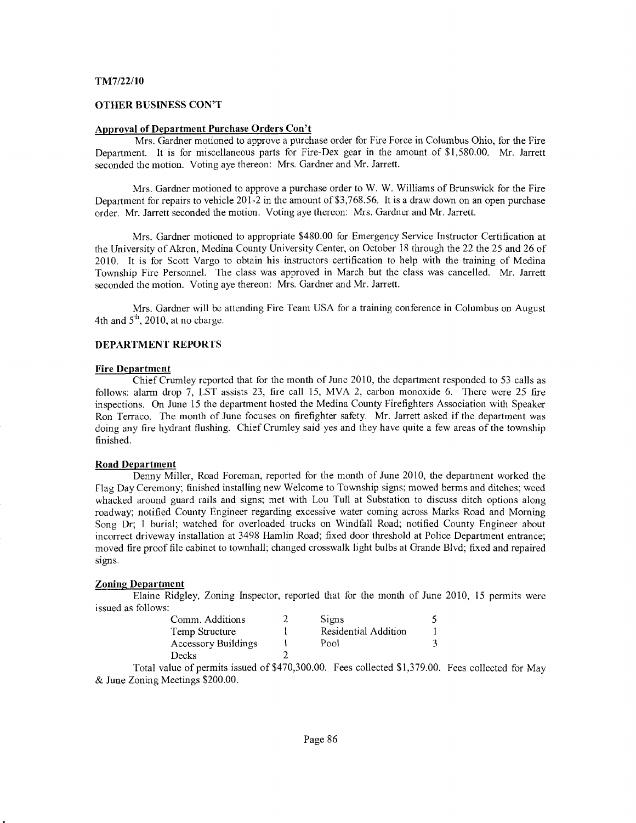#### TM7/22/10

#### OTHER BUSINESS CON'T

#### Approval of Department Purchase Orders Con't

Mrs. Gardner motioned to approve a purchase order for Fire Force in Columbus Ohio, for the Fire Department. It is for miscellaneous parts for Fire-Dex gear in the amount of \$1,580.00. Mr. Jarrett seconded the motion. Voting aye thereon: Mrs. Gardner and Mr. Jarrett.

Mrs. Gardner motioned to approve a purchase order to W. W. Williams of Brunswick for the Fire Department for repairs to vehicle  $201-2$  in the amount of \$3,768.56. It is a draw down on an open purchase order. Mr. Jarrett seconded the motion. Voting aye thereon: Mrs. Gardner and Mr. Jarrett.

Mrs. Gardner motioned to appropriate \$480.00 for Emergency Service Instructor Certification at the University of Akron, Medina County UniversityCenter, on October 18 through the22 the25 and26 of 2010. It is for Scott Vargo to obtain his instructors certification to help with the training of Medina Township Fire Personnel. The class was approved in March but the class was cancelled. Mr. Jarrett seconded the motion. Voting aye thereon: Mrs. Gardner and Mr. Jarrett.

Mrs. Gardner will be attending Fire Team USA for a training conference in Columbus on August 4th and  $5<sup>th</sup>$ , 2010, at no charge.

#### DEPARTMENT REPORTS

#### Fire Department

Chief Crumley reported that for the month of June 2010, the department responded to 53 calls as follows: alarm drop 7, LST assists 23, fire call 15, MVA 2, carbon monoxide 6. There were 25 fire inspections. On June 15 the department hosted the Medina County Firefighters Association with Speaker Ron Terraco. The month of June focuses on firefighter safety. Mr. Jarrett asked if the department was doing any fire hydrant flushing. Chief Crumley said yes and they have quite a few areas of the township finished.

#### Road Department

Denny Miller, Road Foreman, reported for the month of June 2010, the department worked the Flag Day Ceremony; finished installing nerv Welcome to Township sigrs; mowed berms and ditches; weed whacked around guard rails and signs; met with Lou Tull at Substation to discuss ditch options along roadway; notified County Engineer regarding excessive water coming across Marks Road and Morning Song Dr; 1 burial; watched for overloaded trucks on Windfall Road; notified County Engineer about incorrect driveway installation at 3498 Hamlin Road; fixed door threshold at Police Department entrance; moved fire proof file cabinet to townhall; changed crosswalk light bulbs at Grande Blvd; fixed and repaired signs.

## Zoning Department

Elaine Ridgley, Zoning Inspector, reported that for the month of June 2010, 15 permits were issued as follows:

| Comm. Additions     | <b>Signs</b>         |  |
|---------------------|----------------------|--|
| Temp Structure      | Residential Addition |  |
| Accessory Buildings | Pool                 |  |
| Decks               |                      |  |

Total value of permits issued of \$470,300.00. Fees collected \$1,379.00. Fees collected for May & June Zoning Meetings \$200.00.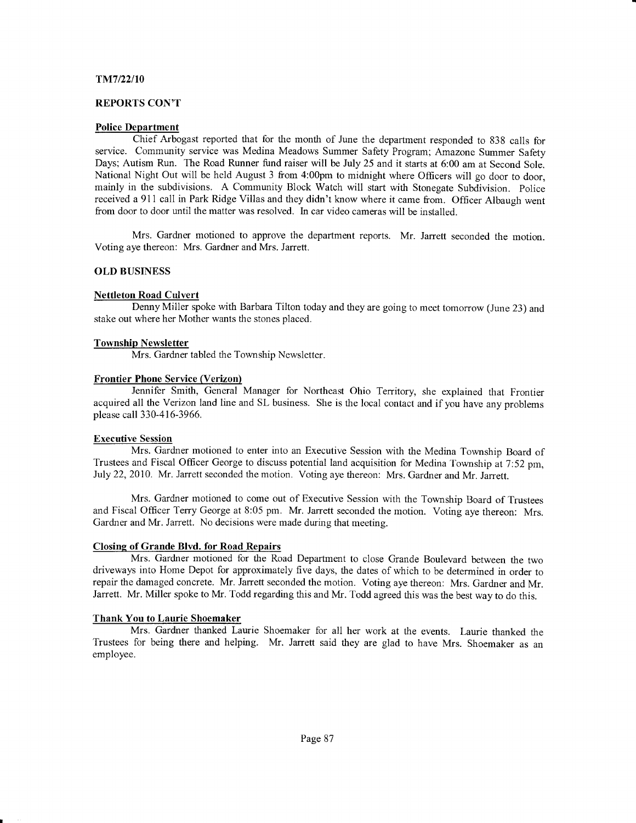#### Tnn7/22/10

#### REPORTS CON'T

#### Police Department

Chief Arbogast reported that for the month of June the department responded to 838 calls for service. Community service was Medina Meadows Summer Safety Program; Amazone Summer Safety Days; Autism Run. The Road Runner fund raiser will be July 25 and it starts at 6:00 am at Second Sole. National Night Out will be held August 3 from 4:00pm to midnight where Officers will go door to door, mainly in the subdivisions. A Community Block Watch will start with Stonegate Subdivision. Police received a 911 call in Park Ridge Villas and they didn't know where it came from. Officer Albaugh went from door to door until the matter was resolved. In car video cameras will be installed.

Mrs. Gardner motioned to approve the department reports. Mr. Jarrett seconded the motion. Voting aye thereon: Mrs. Gardner and Mrs. Jarrett.

#### OLD BUSINESS

#### Nettleton Road Culvert

Denny Miller spoke with Barbara Tilton today and they are going to meet tomorrow (June 23) and stake out where her Mother wants the stones placed.

#### Township Newsletter

Mrs. Gardner tabled the Township Newsletter.

#### Frontier Phone Service (Verizon)

Jennifer Smith, General Manager for Northeast Ohio Territory, she explained that Frontier acquired all the Verizon land line and SL business. She is the local contact and if you have any problems please call 330-4 | 6-3966.

#### Executive Session

Mrs. Gardner motioned to enter into an Executive Session with the Medina Township Board of Trustees and Fiscal Officer George to discuss potential land acquisition for Medina Township at 7:52 pm, July 22,2010. Mr. Jarrett seconded the motion. Voting aye thereon: Mrs. Gardner and Mr. Jarrett.

Mrs. Gardner motioned to come out of Executive Session with the Township Board of Trustees and Fiscal Officer Terry George at 8:05 pm. Mr. Jarrett seconded the motion. Voting aye thereon: Mrs. Gardner and Mr. Jarrett. No decisions were made during that meeting.

#### Closing of Grande Blvd. for Road Repairs

Mrs. Gardner motioned for the Road Department to close Grande Boulevard between the two driveways into Home Depot for approximately five days, the dates of which to be determined in order to repair the damaged concrete. Mr. Jarrett seconded the motion. Voting aye thereon: Mrs. Gardner and Mr. Jarrett. Mr. Miller spoke to Mr. Todd regarding this and Mr. Todd agreed this was the best way to do this.

#### Thank You to Laurie Shoemaker

Mrs. Gardner thanked Laurie Shoemaker for all her work at the events. Laurie thanked the Trustees for being there and helping. Mr. Jarrett said they are glad to have Mrs. Shoemaker as an employee.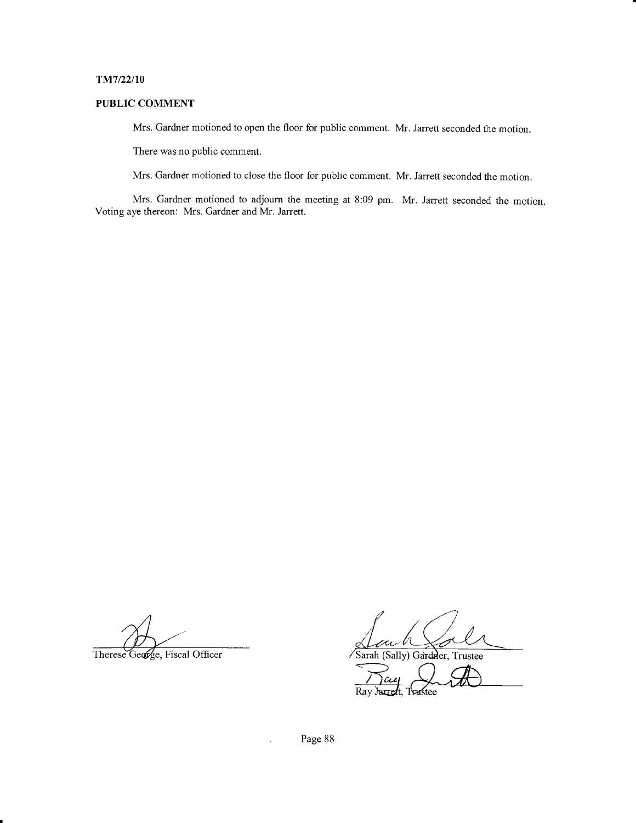#### TiM7/22/10

# PUBLIC COMMENT

Mrs. Gardner motioned to open the floor for public comment. Mr. Jarrett seconded the motion.

There was no public comment.

Mrs. Gardner motioned to close the floor for public comment. Mr. Jarrett seconded the motion.

Mrs. Gardner motioned to adjourn the meeting at 8:09 pm. Mr. Jarrett seconded the motion. Voting aye thereon: Mrs. Gardner and Mr. Jarrett.

Therese George, Fiscal Officer Sarah (Sally) Gardwer, Trustee

Page 88

 $\ddot{\phantom{a}}$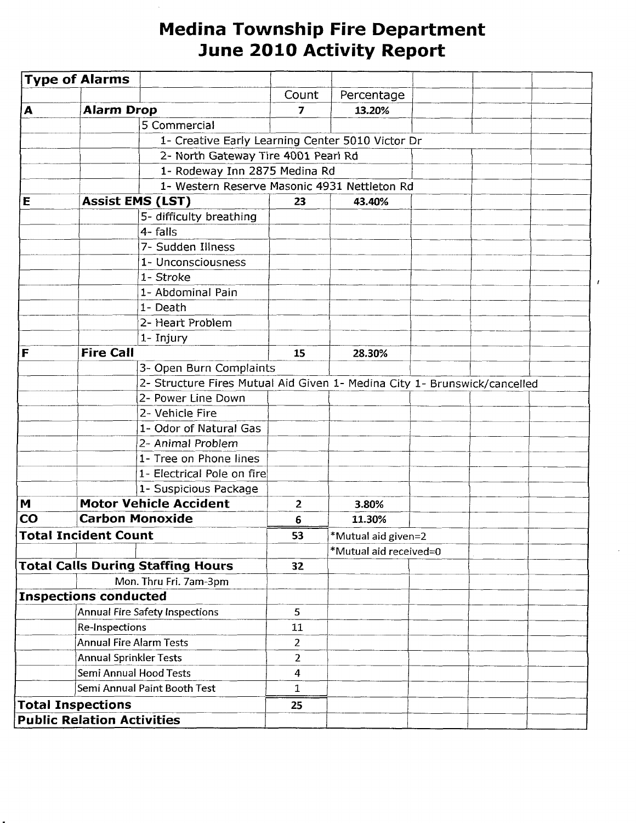# Medina Township Fire Department June 2010 Activity Report

|                                       | <b>Type of Alarms</b>             |                                                                           |                                              |                     |  |  |
|---------------------------------------|-----------------------------------|---------------------------------------------------------------------------|----------------------------------------------|---------------------|--|--|
|                                       |                                   |                                                                           | Count                                        | Percentage          |  |  |
| A                                     | <b>Alarm Drop</b>                 |                                                                           | 7                                            | 13.20%              |  |  |
|                                       |                                   | 5 Commercial                                                              |                                              |                     |  |  |
|                                       |                                   | 1- Creative Early Learning Center 5010 Victor Dr                          |                                              |                     |  |  |
|                                       |                                   | 2- North Gateway Tire 4001 Pearl Rd                                       |                                              |                     |  |  |
|                                       |                                   | 1- Rodeway Inn 2875 Medina Rd                                             |                                              |                     |  |  |
|                                       |                                   |                                                                           | 1- Western Reserve Masonic 4931 Nettleton Rd |                     |  |  |
| E                                     |                                   | <b>Assist EMS (LST)</b>                                                   | 23                                           | 43.40%              |  |  |
|                                       |                                   | 5- difficulty breathing                                                   |                                              |                     |  |  |
|                                       |                                   | 4- falls                                                                  |                                              |                     |  |  |
|                                       |                                   | 7- Sudden Illness                                                         |                                              |                     |  |  |
|                                       |                                   | 1- Unconsciousness                                                        |                                              |                     |  |  |
|                                       |                                   | 1- Stroke                                                                 |                                              |                     |  |  |
|                                       |                                   | 1- Abdominal Pain                                                         |                                              |                     |  |  |
|                                       |                                   | 1- Death                                                                  |                                              |                     |  |  |
|                                       |                                   | 2- Heart Problem                                                          |                                              |                     |  |  |
|                                       |                                   | 1- Injury                                                                 |                                              |                     |  |  |
| F                                     | <b>Fire Call</b>                  |                                                                           | 15                                           | 28.30%              |  |  |
|                                       |                                   | 3- Open Burn Complaints                                                   |                                              |                     |  |  |
|                                       |                                   | 2- Structure Fires Mutual Aid Given 1- Medina City 1- Brunswick/cancelled |                                              |                     |  |  |
|                                       |                                   | 2- Power Line Down                                                        |                                              |                     |  |  |
|                                       |                                   | 2- Vehicle Fire                                                           |                                              |                     |  |  |
|                                       |                                   | 1- Odor of Natural Gas                                                    |                                              |                     |  |  |
|                                       |                                   | 2- Animal Problem                                                         |                                              |                     |  |  |
|                                       |                                   | 1- Tree on Phone lines                                                    |                                              |                     |  |  |
|                                       |                                   | 1- Electrical Pole on fire                                                |                                              |                     |  |  |
|                                       |                                   | 1- Suspicious Package                                                     |                                              |                     |  |  |
| M                                     |                                   | <b>Motor Vehicle Accident</b>                                             | $\overline{2}$                               | 3.80%               |  |  |
| CO                                    |                                   | <b>Carbon Monoxide</b>                                                    | 6                                            | 11.30%              |  |  |
|                                       | <b>Total Incident Count</b>       |                                                                           | 53                                           | *Mutual aid given=2 |  |  |
|                                       |                                   |                                                                           | *Mutual aid received=0                       |                     |  |  |
|                                       |                                   | <b>Total Calls During Staffing Hours</b>                                  | 32                                           |                     |  |  |
|                                       |                                   | Mon. Thru Fri. 7am-3pm                                                    |                                              |                     |  |  |
|                                       | <b>Inspections conducted</b>      |                                                                           |                                              |                     |  |  |
| <b>Annual Fire Safety Inspections</b> |                                   | 5                                                                         |                                              |                     |  |  |
|                                       | Re-Inspections                    |                                                                           | 11                                           |                     |  |  |
| <b>Annual Fire Alarm Tests</b>        |                                   | $\overline{2}$                                                            |                                              |                     |  |  |
| <b>Annual Sprinkler Tests</b>         |                                   | $\overline{2}$                                                            |                                              |                     |  |  |
| Semi Annual Hood Tests                |                                   | $\overline{4}$                                                            |                                              |                     |  |  |
| Semi Annual Paint Booth Test          |                                   | 1                                                                         |                                              |                     |  |  |
|                                       | <b>Total Inspections</b>          |                                                                           | 25                                           |                     |  |  |
|                                       | <b>Public Relation Activities</b> |                                                                           |                                              |                     |  |  |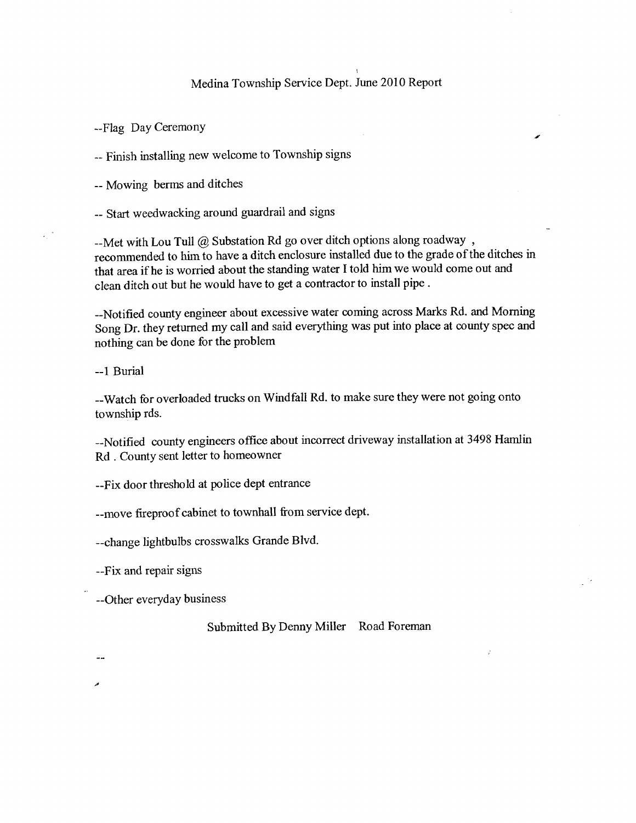# Medina Township Service Dept. June 2010 Report

--Flag Day CeremonY

-- Finish installing new welcome to Township signs

-- Mowing berms and ditches

-- Start weedwacking around guardrail and signs

--Met with Lou Tull @ Substation Rd go over ditch options along roadway, recommended to him to have a ditch enclosure installed due to the grade of the ditches in that area if he is worried about the standing water I told him we would come out and clean ditch out but he would have to get a contractor to install pipe .

--Notified county engineer about excessive water coming across Marks Rd. and Morning Song Dr. they returned my call and said everything was put into place at county spec and nothing can be done for the problem

--1 Burial

--Watch for overloaded trucks on Windfall Rd. to make sure they were not going onto township rds.

--Notified county engineers office about incorrect driveway installation at 3498 Hamlin Rd . County sent letter to homeowner

--Fix door threshold at police dept entrance

--move fireproof cabinet to townhall from service dept.

--change lightbulbs crosswalks Grande Blvd.

--Fix and repair signs

--Other everyday business

# Submitted By Denny Miller Road Foreman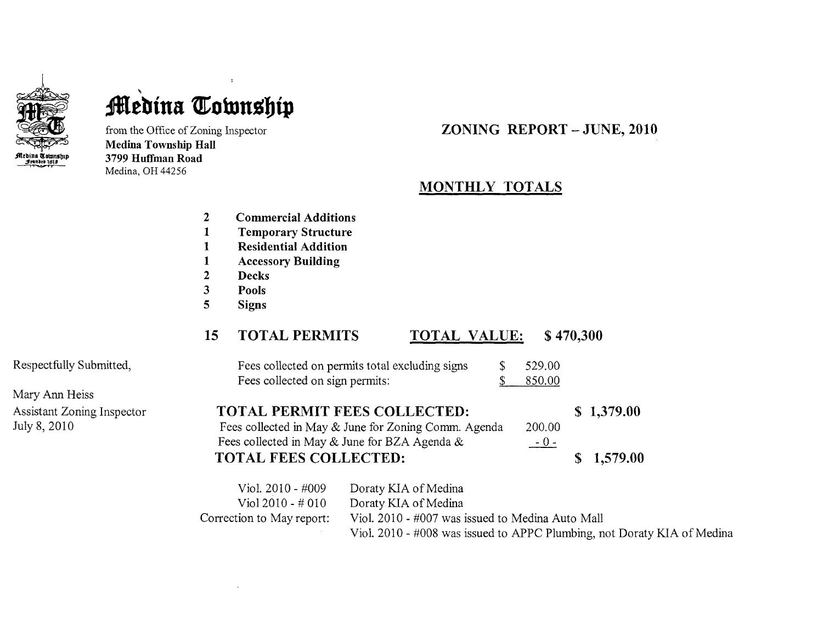

# **Medina Township**

from the Office of Zoning lnspector Medina Township Hall 3799 Huffman Road Medina, OH44256

# ZONING REPORT \_ JUNE. 2O1O

# MONTHLY TOTALS

- $\overline{2}$ Commercial Additions
- Temporary Structure  $\mathbf{1}$
- $\mathbf{1}$ Residential Addition
- $\mathbf{1}$ Accessory Building
- Decks  $\overline{2}$
- $\overline{\mathbf{3}}$ Pools
- $\overline{5}$ Signs

# 15 TOTAL PERMITS TOTAL VALUE: \$ 470,300

| Fees collected on permits total excluding signs<br>Fees collected on sign permits:          | 529.00<br>850.00 |            |
|---------------------------------------------------------------------------------------------|------------------|------------|
| <b>TOTAL PERMIT FEES COLLECTED:</b><br>Fees collected in May & June for Zoning Comm. Agenda | 200.00           | \$1,379.00 |

Fees collected in May & June for BZA Agenda & TOTAL FEES COLLECTED:  $-0-$ \$ 1,579.00

| Viol. $2010 - #009$       | Doraty KIA of Medina                                                    |
|---------------------------|-------------------------------------------------------------------------|
| Viol 2010 - # 010         | Doraty KIA of Medina                                                    |
| Correction to May report: | Viol. 2010 - #007 was issued to Medina Auto Mall                        |
|                           | Viol. 2010 - #008 was issued to APPC Plumbing, not Doraty KIA of Medina |

Respectfully Submitted,

Mary Ann Heiss Assistant Zonng Inspector July 8, 2010